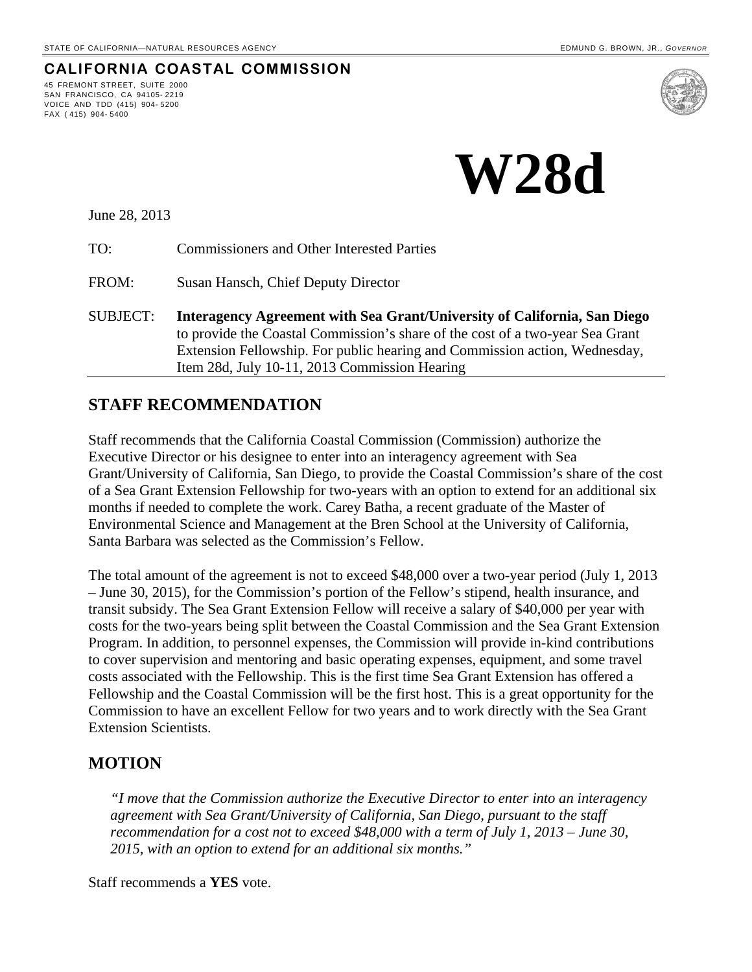**CALIFORNIA COASTAL COMMISSION**

# **W28d**

June 28, 2013

45 FREMONT STREET, SUITE 2000 SAN FRANCISCO, CA 94105- 2219 VOICE AND TDD (415) 904- 5200

FAX ( 415) 904- 5400

TO: Commissioners and Other Interested Parties

FROM: Susan Hansch, Chief Deputy Director

SUBJECT: **Interagency Agreement with Sea Grant/University of California, San Diego** to provide the Coastal Commission's share of the cost of a two-year Sea Grant Extension Fellowship. For public hearing and Commission action, Wednesday, Item 28d, July 10-11, 2013 Commission Hearing

#### **STAFF RECOMMENDATION**

Staff recommends that the California Coastal Commission (Commission) authorize the Executive Director or his designee to enter into an interagency agreement with Sea Grant/University of California, San Diego, to provide the Coastal Commission's share of the cost of a Sea Grant Extension Fellowship for two-years with an option to extend for an additional six months if needed to complete the work. Carey Batha, a recent graduate of the Master of Environmental Science and Management at the Bren School at the University of California, Santa Barbara was selected as the Commission's Fellow.

The total amount of the agreement is not to exceed \$48,000 over a two-year period (July 1, 2013 – June 30, 2015), for the Commission's portion of the Fellow's stipend, health insurance, and transit subsidy. The Sea Grant Extension Fellow will receive a salary of \$40,000 per year with costs for the two-years being split between the Coastal Commission and the Sea Grant Extension Program. In addition, to personnel expenses, the Commission will provide in-kind contributions to cover supervision and mentoring and basic operating expenses, equipment, and some travel costs associated with the Fellowship. This is the first time Sea Grant Extension has offered a Fellowship and the Coastal Commission will be the first host. This is a great opportunity for the Commission to have an excellent Fellow for two years and to work directly with the Sea Grant Extension Scientists.

#### **MOTION**

*"I move that the Commission authorize the Executive Director to enter into an interagency agreement with Sea Grant/University of California, San Diego, pursuant to the staff recommendation for a cost not to exceed \$48,000 with a term of July 1, 2013 – June 30, 2015, with an option to extend for an additional six months."*

Staff recommends a **YES** vote.

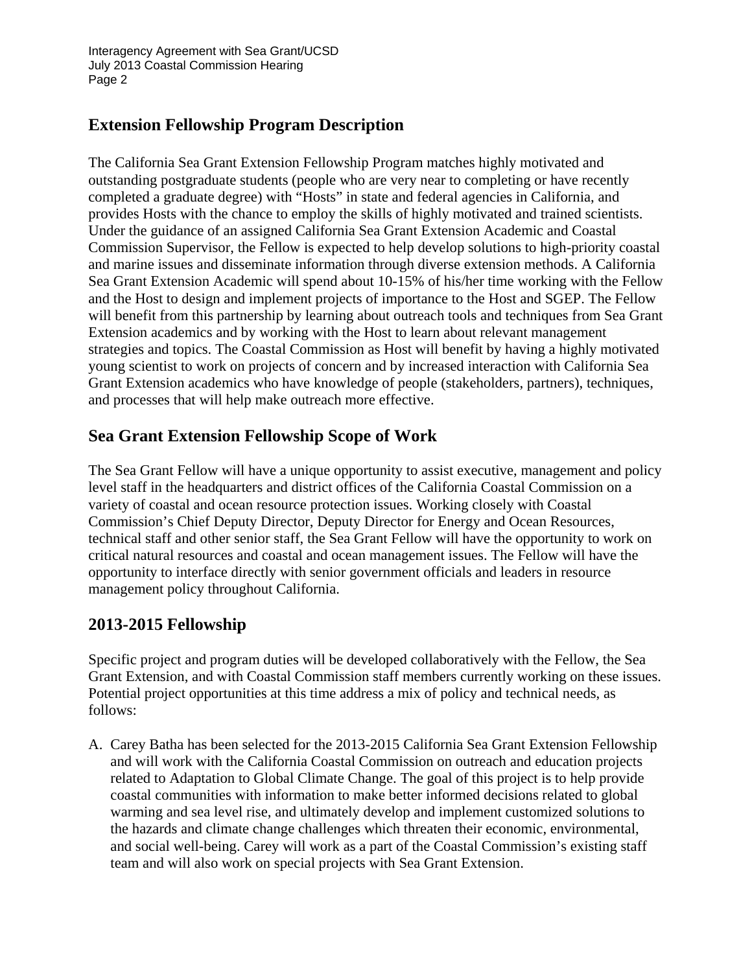Interagency Agreement with Sea Grant/UCSD July 2013 Coastal Commission Hearing Page 2

#### **Extension Fellowship Program Description**

The California Sea Grant Extension Fellowship Program matches highly motivated and outstanding postgraduate students (people who are very near to completing or have recently completed a graduate degree) with "Hosts" in state and federal agencies in California, and provides Hosts with the chance to employ the skills of highly motivated and trained scientists. Under the guidance of an assigned California Sea Grant Extension Academic and Coastal Commission Supervisor, the Fellow is expected to help develop solutions to high-priority coastal and marine issues and disseminate information through diverse extension methods. A California Sea Grant Extension Academic will spend about 10-15% of his/her time working with the Fellow and the Host to design and implement projects of importance to the Host and SGEP. The Fellow will benefit from this partnership by learning about outreach tools and techniques from Sea Grant Extension academics and by working with the Host to learn about relevant management strategies and topics. The Coastal Commission as Host will benefit by having a highly motivated young scientist to work on projects of concern and by increased interaction with California Sea Grant Extension academics who have knowledge of people (stakeholders, partners), techniques, and processes that will help make outreach more effective.

### **Sea Grant Extension Fellowship Scope of Work**

The Sea Grant Fellow will have a unique opportunity to assist executive, management and policy level staff in the headquarters and district offices of the California Coastal Commission on a variety of coastal and ocean resource protection issues. Working closely with Coastal Commission's Chief Deputy Director, Deputy Director for Energy and Ocean Resources, technical staff and other senior staff, the Sea Grant Fellow will have the opportunity to work on critical natural resources and coastal and ocean management issues. The Fellow will have the opportunity to interface directly with senior government officials and leaders in resource management policy throughout California.

# **2013-2015 Fellowship**

Specific project and program duties will be developed collaboratively with the Fellow, the Sea Grant Extension, and with Coastal Commission staff members currently working on these issues. Potential project opportunities at this time address a mix of policy and technical needs, as follows:

A. Carey Batha has been selected for the 2013-2015 California Sea Grant Extension Fellowship and will work with the California Coastal Commission on outreach and education projects related to Adaptation to Global Climate Change. The goal of this project is to help provide coastal communities with information to make better informed decisions related to global warming and sea level rise, and ultimately develop and implement customized solutions to the hazards and climate change challenges which threaten their economic, environmental, and social well-being. Carey will work as a part of the Coastal Commission's existing staff team and will also work on special projects with Sea Grant Extension.